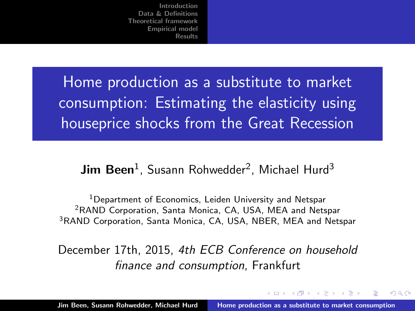<span id="page-0-0"></span>Home production as a substitute to market consumption: Estimating the elasticity using houseprice shocks from the Great Recession

#### $\mathsf{Jim}\ \mathsf{Bean}^1$ , Susann Rohwedder<sup>2</sup>, Michael Hurd<sup>3</sup>

<sup>1</sup>Department of Economics, Leiden University and Netspar <sup>2</sup>RAND Corporation, Santa Monica, CA, USA, MEA and Netspar <sup>3</sup>RAND Corporation, Santa Monica, CA, USA, NBER, MEA and Netspar

December 17th, 2015, 4th ECB Conference on household finance and consumption, Frankfurt

 $4.11 \times 1.00 \times 1.00 \times 10^{-2}$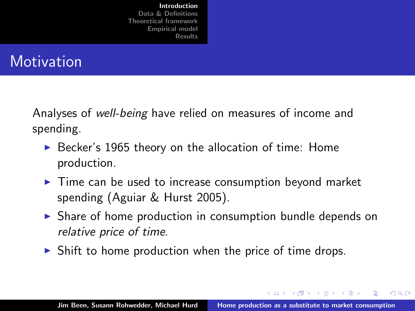<span id="page-1-0"></span>**Motivation** 

Analyses of well-being have relied on measures of income and spending.

- $\triangleright$  Becker's 1965 theory on the allocation of time: Home production.
- $\blacktriangleright$  Time can be used to increase consumption beyond market spending (Aguiar & Hurst 2005).
- $\triangleright$  Share of home production in consumption bundle depends on relative price of time.
- $\triangleright$  Shift to home production when the price of time drops.

イロト イ押 トイモト イモト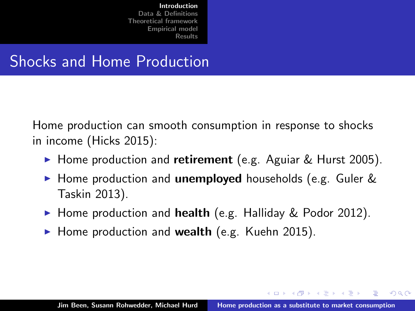## Shocks and Home Production

Home production can smooth consumption in response to shocks in income (Hicks 2015):

- Home production and retirement (e.g. Aguiar & Hurst 2005).
- $\triangleright$  Home production and **unemployed** households (e.g. Guler  $\&$ Taskin 2013).
- $\blacktriangleright$  Home production and health (e.g. Halliday & Podor 2012).
- $\blacktriangleright$  Home production and wealth (e.g. Kuehn 2015).

イロメ マ桐 メラミンマチャ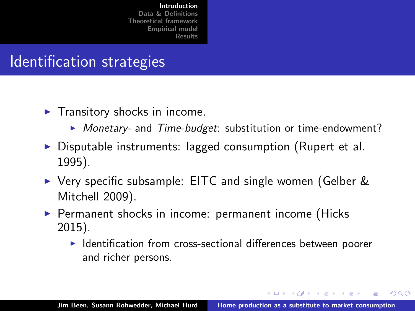## Identification strategies

- $\blacktriangleright$  Transitory shocks in income.
	- $\triangleright$  Monetary- and Time-budget: substitution or time-endowment?
- $\triangleright$  Disputable instruments: lagged consumption (Rupert et al. 1995).
- ► Very specific subsample: EITC and single women (Gelber & Mitchell 2009).
- $\blacktriangleright$  Permanent shocks in income: permanent income (Hicks 2015).
	- $\blacktriangleright$  Identification from cross-sectional differences between poorer and richer persons.

イロメ マ桐 メラミンマチャ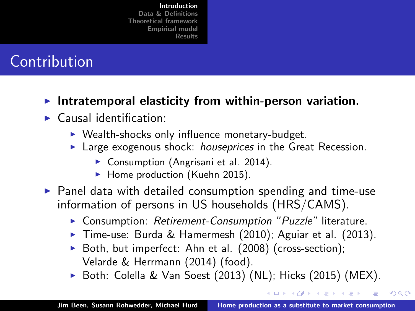# Contribution

- Intratemporal elasticity from within-person variation.
- $\blacktriangleright$  Causal identification:
	- $\triangleright$  Wealth-shocks only influence monetary-budget.
	- **Large exogenous shock: houseprices in the Great Recession.** 
		- ▶ Consumption (Angrisani et al. 2014).
		- $\blacktriangleright$  Home production (Kuehn 2015).
- $\triangleright$  Panel data with detailed consumption spending and time-use information of persons in US households (HRS/CAMS).
	- ▶ Consumption: Retirement-Consumption "Puzzle" literature.
	- $\triangleright$  Time-use: Burda & Hamermesh (2010); Aguiar et al. (2013).
	- $\triangleright$  Both, but imperfect: Ahn et al. (2008) (cross-section); Velarde & Herrmann (2014) (food).
	- $\triangleright$  Both: Colella & Van Soest (2013) (NL); Hicks (2015) (MEX).

 $\left\{ \begin{array}{ccc} 1 & 0 & 0 \\ 0 & 1 & 0 \end{array} \right\}$  ,  $\left\{ \begin{array}{ccc} 1 & 0 & 0 \\ 0 & 1 & 0 \end{array} \right\}$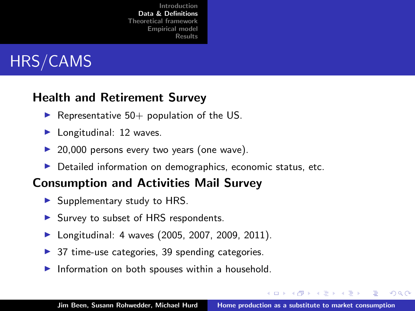<span id="page-5-0"></span>

#### Health and Retirement Survey

- $\blacktriangleright$  Representative 50+ population of the US.
- $\blacktriangleright$  Longitudinal: 12 waves.
- $\triangleright$  20,000 persons every two years (one wave).
- $\triangleright$  Detailed information on demographics, economic status, etc.

#### Consumption and Activities Mail Survey

- $\blacktriangleright$  Supplementary study to HRS.
- In Survey to subset of HRS respondents.
- Longitudinal: 4 waves (2005, 2007, 2009, 2011).
- $\triangleright$  37 time-use categories, 39 spending categories.
- $\blacktriangleright$  Information on both spouses within a household.

メロメ メタメ メモメ メモメ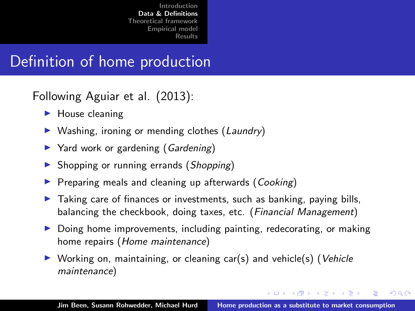## Definition of home production

Following Aguiar et al. (2013):

- $\blacktriangleright$  House cleaning
- $\triangleright$  Washing, ironing or mending clothes (Laundry)
- $\triangleright$  Yard work or gardening (Gardening)
- $\triangleright$  Shopping or running errands (Shopping)
- $\blacktriangleright$  Preparing meals and cleaning up afterwards (Cooking)
- $\triangleright$  Taking care of finances or investments, such as banking, paying bills, balancing the checkbook, doing taxes, etc. (Financial Management)
- $\triangleright$  Doing home improvements, including painting, redecorating, or making home repairs (Home maintenance)
- $\triangleright$  Working on, maintaining, or cleaning car(s) and vehicle(s) (Vehicle maintenance)

イロメ マ桐 メラミンマチャ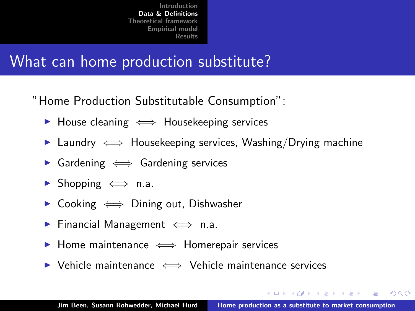## What can home production substitute?

"Home Production Substitutable Consumption":

- ► House cleaning  $\iff$  Housekeeping services
- $\triangleright$  Laundry  $\iff$  Housekeeping services, Washing/Drying machine
- $\triangleright$  Gardening  $\iff$  Gardening services
- $\triangleright$  Shopping  $\iff$  n.a.
- Cooking  $\iff$  Dining out, Dishwasher
- **►** Financial Management  $\iff$  n.a.
- $\triangleright$  Home maintenance  $\iff$  Homerepair services
- <sup>I</sup> Vehicle maintenance ⇐⇒ Vehicle maintenance services

イロメ マ桐 メラミンマチャ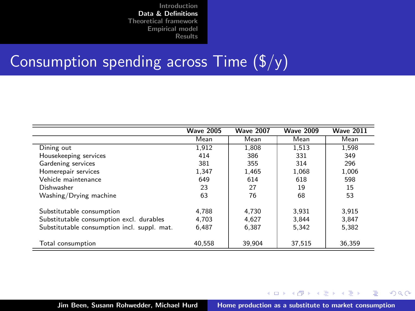## Consumption spending across Time  $(\frac{f}{y})$

|                                             | <b>Wave 2005</b> | <b>Wave 2007</b> | <b>Wave 2009</b> | <b>Wave 2011</b> |
|---------------------------------------------|------------------|------------------|------------------|------------------|
|                                             | Mean             | Mean             | Mean             | Mean             |
| Dining out                                  | 1.912            | 1.808            | 1.513            | 1.598            |
| Housekeeping services                       | 414              | 386              | 331              | 349              |
| Gardening services                          | 381              | 355              | 314              | 296              |
| Homerepair services                         | 1.347            | 1.465            | 1.068            | 1.006            |
| Vehicle maintenance                         | 649              | 614              | 618              | 598              |
| Dishwasher                                  | 23               | 27               | 19               | 15               |
| Washing/Drying machine                      | 63               | 76               | 68               | 53               |
| Substitutable consumption                   | 4.788            | 4.730            | 3.931            | 3.915            |
| Substitutable consumption excl. durables    | 4.703            | 4.627            | 3.844            | 3.847            |
| Substitutable consumption incl. suppl. mat. | 6.487            | 6.387            | 5.342            | 5.382            |
| Total consumption                           | 40.558           | 39.904           | 37,515           | 36.359           |

K ロ ⊁ K 倒 ≯ K ミ ⊁ K ミ ⊁

重

 $2Q$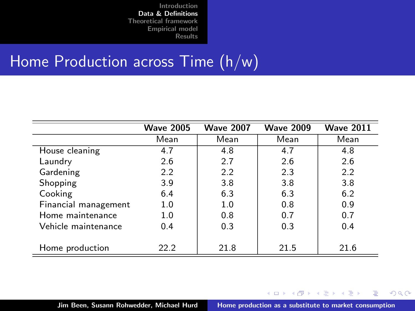## Home Production across Time (h/w)

|                      | <b>Wave 2005</b> | <b>Wave 2007</b> | <b>Wave 2009</b> | <b>Wave 2011</b> |
|----------------------|------------------|------------------|------------------|------------------|
|                      | Mean             | Mean             | Mean             | Mean             |
| House cleaning       | 4.7              | 4.8              | 4.7              | 4.8              |
| Laundry              | 2.6              | 2.7              | 2.6              | 2.6              |
| Gardening            | 2.2              | 2.2              | 2.3              | 2.2              |
| Shopping             | 3.9              | 3.8              | 3.8              | 3.8              |
| Cooking              | 6.4              | 6.3              | 6.3              | 6.2              |
| Financial management | 1.0              | 1.0              | 0.8              | 0.9              |
| Home maintenance     | 1.0              | 0.8              | 0.7              | 0.7              |
| Vehicle maintenance  | 0.4              | 0.3              | 0.3              | 0.4              |
|                      |                  |                  |                  |                  |
| Home production      | 22.2             | 21.8             | 21.5             | 21.6             |

イロト イ押 トイモト イモト

重

 $298$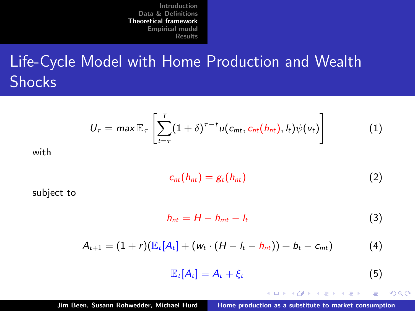<span id="page-10-0"></span>Life-Cycle Model with Home Production and Wealth **Shocks** 

$$
U_{\tau} = \max \mathbb{E}_{\tau} \left[ \sum_{t=\tau}^{\tau} (1+\delta)^{\tau-t} u(c_{mt}, c_{nt}(h_{nt}), h) \psi(v_t) \right]
$$
(1)

with

$$
c_{nt}(h_{nt}) = g_t(h_{nt})
$$
 (2)

subject to

$$
h_{nt} = H - h_{mt} - l_t \tag{3}
$$

$$
A_{t+1} = (1+r)(\mathbb{E}_{t}[A_{t}] + (w_t \cdot (H - I_t - I_{mt})) + b_t - c_{mt})
$$
 (4)

$$
\mathbb{E}_t[A_t] = A_t + \xi_t \tag{5}
$$

イロメ イ御メ イヨメ イヨメ

 $2Q$ 

重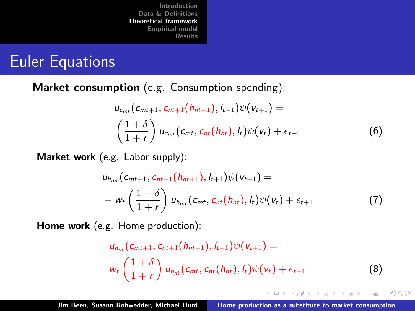### Euler Equations

Market consumption (e.g. Consumption spending):

$$
u_{c_{mt}}(c_{mt+1}, c_{nt+1}(h_{nt+1}), l_{t+1})\psi(v_{t+1}) =
$$
  

$$
\left(\frac{1+\delta}{1+r}\right)u_{c_{mt}}(c_{mt}, c_{nt}(h_{nt}), l_{t})\psi(v_{t}) + \epsilon_{t+1}
$$
 (6)

Market work (e.g. Labor supply):

$$
u_{h_{m t}}(c_{m t+1}, c_{n t+1}(h_{n t+1}), l_{t+1})\psi(v_{t+1}) =
$$
  
-  $w_t\left(\frac{1+\delta}{1+r}\right)u_{h_{m t}}(c_{m t}, c_{n t}(h_{n t}), l_t)\psi(v_t) + \epsilon_{t+1}$  (7)

Home work (e.g. Home production):

$$
u_{h_{nt}}(c_{mt+1}, c_{nt+1}(h_{nt+1}), l_{t+1})\psi(v_{t+1}) =
$$
  

$$
w_t\left(\frac{1+\delta}{1+r}\right)u_{h_{nt}}(c_{mt}, c_{nt}(h_{nt}), l_t)\psi(v_t) + \epsilon_{t+1}
$$
 (8)

K ロ ⊁ K 倒 ≯ K ミ ⊁ K ミ ⊁

 $2Q$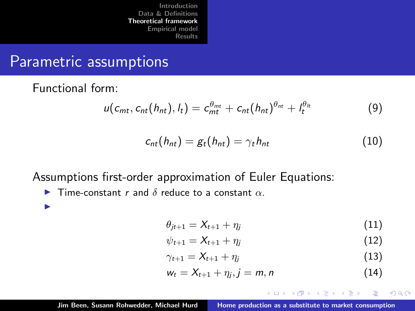[Introduction](#page-1-0)<br>Data & Definitions [Data & Definitions](#page-5-0) [Theoretical framework](#page-10-0) [Empirical model](#page-13-0) [Results](#page-16-0)

### Parametric assumptions

Functional form:

$$
u(c_{mt}, c_{nt}(h_{nt}), l_t) = c_{mt}^{\theta_{mt}} + c_{nt}(h_{nt})^{\theta_{nt}} + l_t^{\theta_{lt}} \qquad (9)
$$

$$
c_{nt}(h_{nt}) = g_t(h_{nt}) = \gamma_t h_{nt}
$$
\n(10)

Assumptions first-order approximation of Euler Equations:

**I** Time-constant r and  $\delta$  reduce to a constant  $\alpha$ .

I

$$
\theta_{jt+1} = X_{t+1} + \eta_j \tag{11}
$$

$$
\psi_{t+1} = X_{t+1} + \eta_j \tag{12}
$$

$$
\gamma_{t+1} = X_{t+1} + \eta_j \tag{13}
$$

$$
w_t = X_{t+1} + \eta_j, j = m, n
$$
 (14)

医细胞 医单位

-4 E

 $2Q$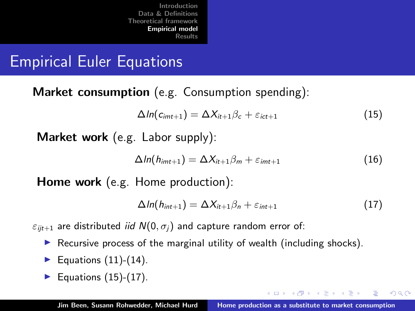[Introduction](#page-1-0)  $Data$   $R$ [Theoretical framework](#page-10-0) [Empirical model](#page-13-0) [Results](#page-16-0)

## <span id="page-13-0"></span>Empirical Euler Equations

Market consumption (e.g. Consumption spending):

$$
\Delta ln(c_{imt+1}) = \Delta X_{it+1} \beta_c + \varepsilon_{ict+1}
$$
\n(15)

Market work (e.g. Labor supply):

$$
\Delta ln(h_{imt+1}) = \Delta X_{it+1} \beta_m + \varepsilon_{imt+1} \tag{16}
$$

Home work (e.g. Home production):

$$
\Delta ln(h_{int+1}) = \Delta X_{it+1} \beta_n + \varepsilon_{int+1} \tag{17}
$$

イロメ イタメ イラメ イラメ

 $\Omega$ 

 $\varepsilon_{i,t+1}$  are distributed *iid*  $N(0, \sigma_i)$  and capture random error of:

- Recursive process of the marginal utility of wealth (including shocks).
- Equations  $(11)-(14)$ .
- Equations  $(15)-(17)$ .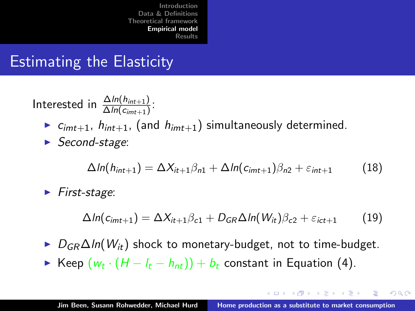[Introduction](#page-1-0)<br>Data & Definitions [Data & Definitions](#page-5-0) [Theoretical framework](#page-10-0) [Empirical model](#page-13-0) [Results](#page-16-0)

## Estimating the Elasticity

Interested in  $\frac{\Delta ln(h_{int+1})}{\Delta ln(c_{int+1})}$ :

- $\triangleright$   $c_{imt+1}$ ,  $h_{int+1}$ , (and  $h_{imt+1}$ ) simultaneously determined.
- $\triangleright$  Second-stage:

$$
\Delta ln(h_{int+1}) = \Delta X_{it+1} \beta_{n1} + \Delta ln(c_{imt+1}) \beta_{n2} + \varepsilon_{int+1}
$$
 (18)

 $\blacktriangleright$  First-stage:

$$
\Delta ln(c_{imt+1}) = \Delta X_{it+1}\beta_{c1} + D_{GR}\Delta ln(W_{it})\beta_{c2} + \varepsilon_{ict+1}
$$
 (19)

- $D_{GR}\Delta ln(W_{it})$  shock to monetary-budget, not to time-budget.
- ► Keep  $(w_t \cdot (H I_t h_{nt})) + b_t$  constant in Equation (4).

イロメ イ押 トラ ミトラ ミトー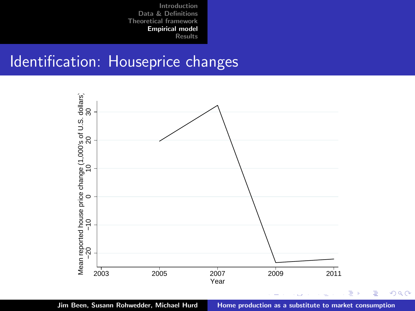#### Identification: Houseprice changes



Jim Been, Susann Rohwedder, Michael Hurd [Home production as a substitute to market consumption](#page-0-0)

ŧ

 $299$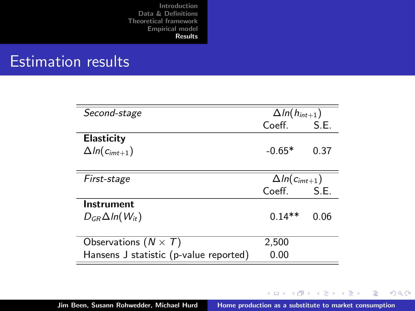## <span id="page-16-0"></span>Estimation results

| Second-stage                           | $\Delta ln(h_{int+1})$ |        |
|----------------------------------------|------------------------|--------|
|                                        | Coeff.                 | S.E.   |
| <b>Elasticity</b>                      |                        |        |
| $\Delta ln(c_{imt+1})$                 | $-0.65*$               | 0.37   |
|                                        |                        |        |
| First-stage                            | $\Delta ln(c_{imt+1})$ |        |
|                                        | Coeff.                 | - S.E. |
| Instrument                             |                        |        |
| $D_{GR}\Delta ln(W_{it})$              | $0.14**$               | 0.06   |
|                                        |                        |        |
| Observations $(N \times T)$            | 2,500                  |        |
| Hansens J statistic (p-value reported) | 0.00                   |        |

メロメ メ都 メメ きょくきょう

重

 $299$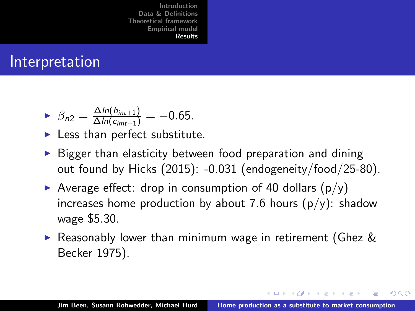### Interpretation

$$
\triangleright \ \beta_{n2} = \frac{\Delta \ln(h_{int+1})}{\Delta \ln(c_{int+1})} = -0.65.
$$

- $\blacktriangleright$  Less than perfect substitute.
- $\triangleright$  Bigger than elasticity between food preparation and dining out found by Hicks (2015): -0.031 (endogeneity/food/25-80).
- Average effect: drop in consumption of 40 dollars  $(p/y)$ increases home production by about 7.6 hours  $(p/y)$ : shadow wage \$5.30.
- $\triangleright$  Reasonably lower than minimum wage in retirement (Ghez  $\&$ Becker 1975).

イロメ マ桐 メラミンマチャ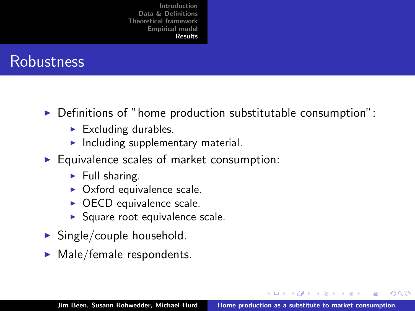

- $\triangleright$  Definitions of "home production substitutable consumption":
	- $\blacktriangleright$  Excluding durables.
	- $\blacktriangleright$  Including supplementary material.
- $\blacktriangleright$  Equivalence scales of market consumption:
	- $\blacktriangleright$  Full sharing.
	- $\triangleright$  Oxford equivalence scale.
	- $\triangleright$  OECD equivalence scale.
	- $\triangleright$  Square root equivalence scale.
- $\blacktriangleright$  Single/couple household.
- $\blacktriangleright$  Male/female respondents.

 $\Omega$ 

 $\mathcal{A}$   $\mathcal{F}$   $\mathcal{F}$   $\mathcal{A}$   $\mathcal{F}$   $\mathcal{F}$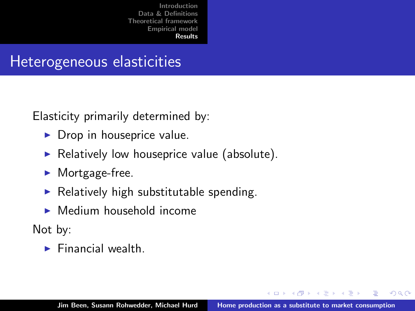## Heterogeneous elasticities

Elasticity primarily determined by:

- $\triangleright$  Drop in houseprice value.
- $\triangleright$  Relatively low houseprice value (absolute).
- $\blacktriangleright$  Mortgage-free.
- $\blacktriangleright$  Relatively high substitutable spending.
- $\blacktriangleright$  Medium household income

Not by:

 $\blacktriangleright$  Financial wealth.

 $\leftarrow$   $\Box$ 

- イート イート イー